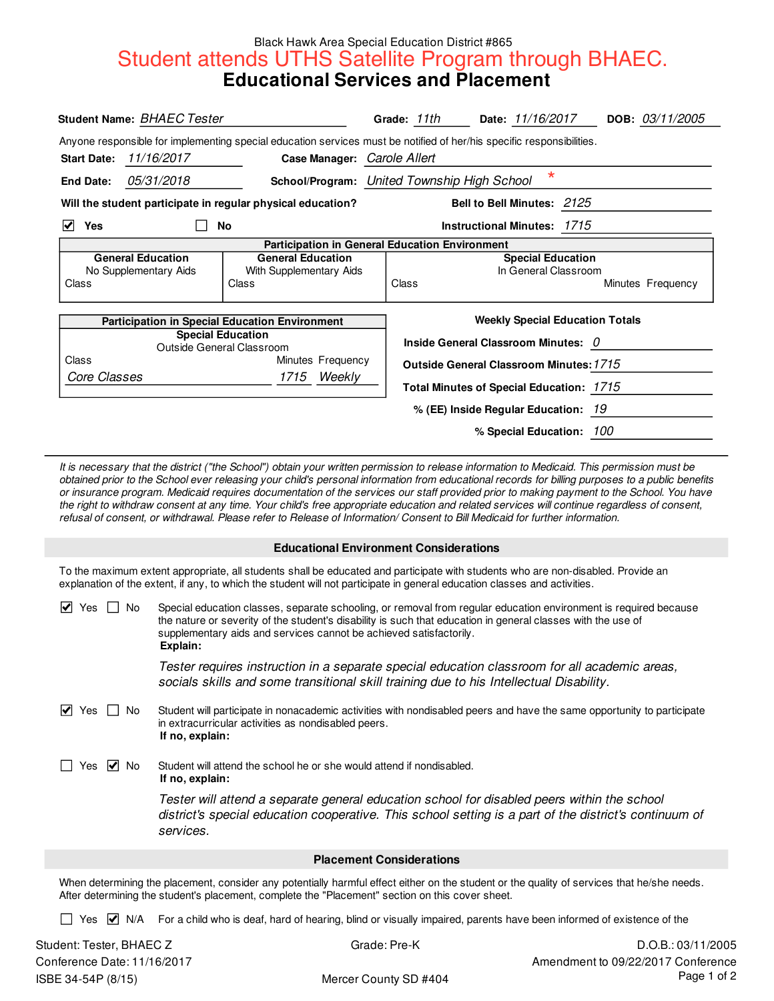## Black Hawk Area Special Education District #865 **Student attends UTHS Satellite Program through BHAEC.**<br>**Educational Services and Placement**

| Student Name: BHAEC Tester                              |                   |                                                                                                                                                                                                                                                                                                        | Grade: 11th                     | Date: 11/16/2017                         | DOB: 03/11/2005                                          |
|---------------------------------------------------------|-------------------|--------------------------------------------------------------------------------------------------------------------------------------------------------------------------------------------------------------------------------------------------------------------------------------------------------|---------------------------------|------------------------------------------|----------------------------------------------------------|
|                                                         |                   | Anyone responsible for implementing special education services must be notified of her/his specific responsibilities.                                                                                                                                                                                  |                                 |                                          |                                                          |
| <b>Start Date:</b>                                      | 11/16/2017        | Case Manager: Carole Allert                                                                                                                                                                                                                                                                            |                                 |                                          |                                                          |
| <b>End Date:</b>                                        | <i>05/31/2018</i> | School/Program: United Township High School                                                                                                                                                                                                                                                            |                                 | $\star$                                  |                                                          |
|                                                         |                   | Will the student participate in regular physical education?                                                                                                                                                                                                                                            |                                 | Bell to Bell Minutes: 2125               |                                                          |
| ☑<br>Yes                                                |                   | No                                                                                                                                                                                                                                                                                                     |                                 | <b>Instructional Minutes: 1715</b>       |                                                          |
| <b>General Education</b>                                |                   | Participation in General Education Environment<br><b>General Education</b>                                                                                                                                                                                                                             |                                 | <b>Special Education</b>                 |                                                          |
| No Supplementary Aids<br>Class                          |                   | With Supplementary Aids<br>Class                                                                                                                                                                                                                                                                       | Class                           | In General Classroom                     | Minutes Frequency                                        |
|                                                         |                   | <b>Participation in Special Education Environment</b>                                                                                                                                                                                                                                                  |                                 | <b>Weekly Special Education Totals</b>   |                                                          |
|                                                         |                   | <b>Special Education</b><br>Outside General Classroom                                                                                                                                                                                                                                                  |                                 | Inside General Classroom Minutes: 0      |                                                          |
| Class                                                   |                   | Minutes Frequency                                                                                                                                                                                                                                                                                      |                                 | Outside General Classroom Minutes: 1715  |                                                          |
| Core Classes                                            |                   | 1715 Weekly                                                                                                                                                                                                                                                                                            |                                 | Total Minutes of Special Education: 1715 |                                                          |
|                                                         |                   |                                                                                                                                                                                                                                                                                                        |                                 | % (EE) Inside Regular Education: 19      |                                                          |
|                                                         |                   |                                                                                                                                                                                                                                                                                                        |                                 | % Special Education: 100                 |                                                          |
|                                                         |                   | To the maximum extent appropriate, all students shall be educated and participate with students who are non-disabled. Provide an<br>explanation of the extent, if any, to which the student will not participate in general education classes and activities.                                          |                                 |                                          |                                                          |
| $\vert \checkmark \vert$ Yes $\vert \; \vert$ No        | Explain:          | Special education classes, separate schooling, or removal from regular education environment is required because<br>the nature or severity of the student's disability is such that education in general classes with the use of<br>supplementary aids and services cannot be achieved satisfactorily. |                                 |                                          |                                                          |
|                                                         |                   | Tester requires instruction in a separate special education classroom for all academic areas,<br>socials skills and some transitional skill training due to his Intellectual Disability.                                                                                                               |                                 |                                          |                                                          |
| $\vee$ Yes $\Box$ No                                    | If no, explain:   | Student will participate in nonacademic activities with nondisabled peers and have the same opportunity to participate<br>in extracurricular activities as nondisabled peers.                                                                                                                          |                                 |                                          |                                                          |
| $\vee$ No<br>Yes                                        | If no, explain:   | Student will attend the school he or she would attend if nondisabled.                                                                                                                                                                                                                                  |                                 |                                          |                                                          |
|                                                         | services.         | Tester will attend a separate general education school for disabled peers within the school<br>district's special education cooperative. This school setting is a part of the district's continuum of                                                                                                  |                                 |                                          |                                                          |
|                                                         |                   |                                                                                                                                                                                                                                                                                                        | <b>Placement Considerations</b> |                                          |                                                          |
|                                                         |                   | When determining the placement, consider any potentially harmful effect either on the student or the quality of services that he/she needs.<br>After determining the student's placement, complete the "Placement" section on this cover sheet.                                                        |                                 |                                          |                                                          |
| Yes M N/A                                               |                   | For a child who is deaf, hard of hearing, blind or visually impaired, parents have been informed of existence of the                                                                                                                                                                                   |                                 |                                          |                                                          |
| Student: Tester, BHAEC Z<br>Conference Date: 11/16/2017 |                   |                                                                                                                                                                                                                                                                                                        | Grade: Pre-K                    |                                          | D.O.B.: 03/11/2005<br>Amendment to 09/22/2017 Conference |
| ISBE 34-54P (8/15)                                      |                   |                                                                                                                                                                                                                                                                                                        | Mercer County SD #404           |                                          | Page 1 of 2                                              |

## **Educational Environment Considerations**

| $\blacktriangleright$<br>Yes<br>No | Special education classes, separate schooling, or removal from regular education environment is required because<br>the nature or severity of the student's disability is such that education in general classes with the use of<br>supplementary aids and services cannot be achieved satisfactorily.<br>Explain: |
|------------------------------------|--------------------------------------------------------------------------------------------------------------------------------------------------------------------------------------------------------------------------------------------------------------------------------------------------------------------|
|                                    | Tester requires instruction in a separate special education classroom for all academic areas,<br>socials skills and some transitional skill training due to his Intellectual Disability.                                                                                                                           |
| $\blacktriangleright$<br>Yes<br>No | Student will participate in nonacademic activities with nondisabled peers and have the same opportunity to participate<br>in extracurricular activities as nondisabled peers.<br>If no, explain:                                                                                                                   |
| Yes $ v $ No                       | Student will attend the school he or she would attend if nondisabled.<br>If no, explain:                                                                                                                                                                                                                           |
|                                    | Tester will attend a separate general education school for disabled peers within the school<br>district's special education cooperative. This school setting is a part of the district's continuum of<br>services.                                                                                                 |
|                                    | <b>Placement Considerations</b>                                                                                                                                                                                                                                                                                    |
|                                    | When determining the placement, consider any potentially harmful effect either on the student or the quality of services that he/she needs.<br>After determining the student's placement, complete the "Placement" section on this cover sheet.                                                                    |